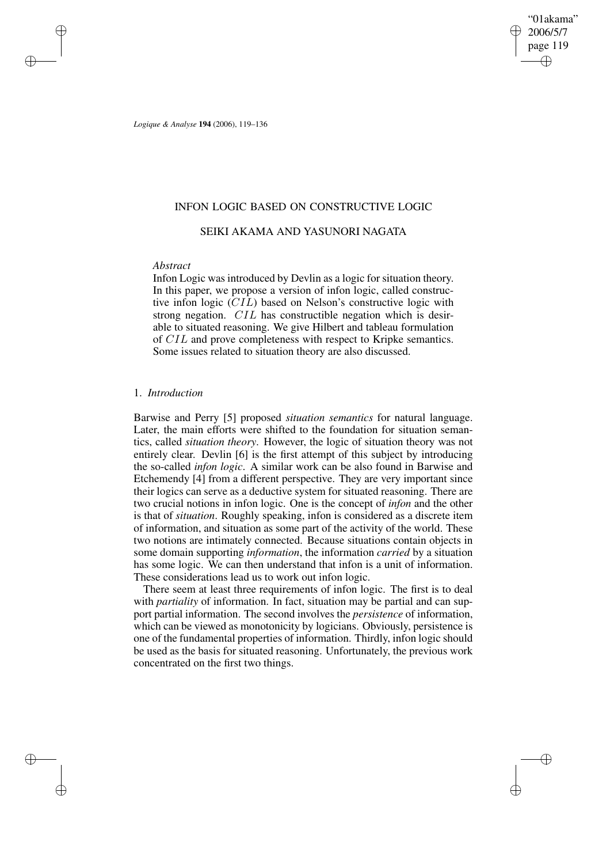"01akama" 2006/5/7 page 119 ✐ ✐

✐

✐

*Logique & Analyse* **194** (2006), 119–136

# INFON LOGIC BASED ON CONSTRUCTIVE LOGIC

# SEIKI AKAMA AND YASUNORI NAGATA

## *Abstract*

✐

✐

✐

✐

Infon Logic was introduced by Devlin as a logic for situation theory. In this paper, we propose a version of infon logic, called constructive infon logic (CIL) based on Nelson's constructive logic with strong negation. CIL has constructible negation which is desirable to situated reasoning. We give Hilbert and tableau formulation of CIL and prove completeness with respect to Kripke semantics. Some issues related to situation theory are also discussed.

### 1. *Introduction*

Barwise and Perry [5] proposed *situation semantics* for natural language. Later, the main efforts were shifted to the foundation for situation semantics, called *situation theory*. However, the logic of situation theory was not entirely clear. Devlin [6] is the first attempt of this subject by introducing the so-called *infon logic*. A similar work can be also found in Barwise and Etchemendy [4] from a different perspective. They are very important since their logics can serve as a deductive system for situated reasoning. There are two crucial notions in infon logic. One is the concept of *infon* and the other is that of *situation*. Roughly speaking, infon is considered as a discrete item of information, and situation as some part of the activity of the world. These two notions are intimately connected. Because situations contain objects in some domain supporting *information*, the information *carried* by a situation has some logic. We can then understand that infon is a unit of information. These considerations lead us to work out infon logic.

There seem at least three requirements of infon logic. The first is to deal with *partiality* of information. In fact, situation may be partial and can support partial information. The second involves the *persistence* of information, which can be viewed as monotonicity by logicians. Obviously, persistence is one of the fundamental properties of information. Thirdly, infon logic should be used as the basis for situated reasoning. Unfortunately, the previous work concentrated on the first two things.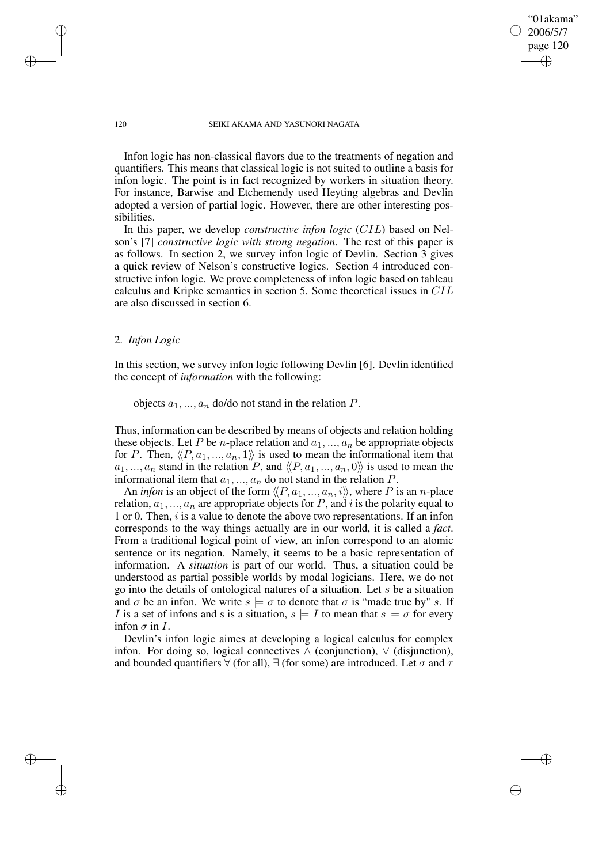#### 120 SEIKI AKAMA AND YASUNORI NAGATA

"01akama" 2006/5/7 page 120

✐

✐

✐

✐

Infon logic has non-classical flavors due to the treatments of negation and quantifiers. This means that classical logic is not suited to outline a basis for infon logic. The point is in fact recognized by workers in situation theory. For instance, Barwise and Etchemendy used Heyting algebras and Devlin adopted a version of partial logic. However, there are other interesting possibilities.

In this paper, we develop *constructive infon logic* (CIL) based on Nelson's [7] *constructive logic with strong negation*. The rest of this paper is as follows. In section 2, we survey infon logic of Devlin. Section 3 gives a quick review of Nelson's constructive logics. Section 4 introduced constructive infon logic. We prove completeness of infon logic based on tableau calculus and Kripke semantics in section 5. Some theoretical issues in CIL are also discussed in section 6.

## 2. *Infon Logic*

In this section, we survey infon logic following Devlin [6]. Devlin identified the concept of *information* with the following:

objects  $a_1, ..., a_n$  do/do not stand in the relation P.

Thus, information can be described by means of objects and relation holding these objects. Let P be *n*-place relation and  $a_1, ..., a_n$  be appropriate objects for P. Then,  $\langle P, a_1, ..., a_n, 1 \rangle$  is used to mean the informational item that  $a_1, ..., a_n$  stand in the relation P, and  $\langle P, a_1, ..., a_n, 0 \rangle$  is used to mean the informational item that  $a_1, ..., a_n$  do not stand in the relation P.

An *infon* is an object of the form  $\langle P, a_1, ..., a_n, i \rangle$ , where P is an n-place relation,  $a_1, ..., a_n$  are appropriate objects for P, and i is the polarity equal to 1 or 0. Then, i is a value to denote the above two representations. If an infon corresponds to the way things actually are in our world, it is called a *fact*. From a traditional logical point of view, an infon correspond to an atomic sentence or its negation. Namely, it seems to be a basic representation of information. A *situation* is part of our world. Thus, a situation could be understood as partial possible worlds by modal logicians. Here, we do not go into the details of ontological natures of a situation. Let s be a situation and  $\sigma$  be an infon. We write  $s \models \sigma$  to denote that  $\sigma$  is "made true by" s. If I is a set of infons and s is a situation,  $s \models I$  to mean that  $s \models \sigma$  for every infon  $\sigma$  in I.

Devlin's infon logic aimes at developing a logical calculus for complex infon. For doing so, logical connectives  $\wedge$  (conjunction),  $\vee$  (disjunction), and bounded quantifiers  $\forall$  (for all),  $\exists$  (for some) are introduced. Let  $\sigma$  and  $\tau$ 

✐

✐

✐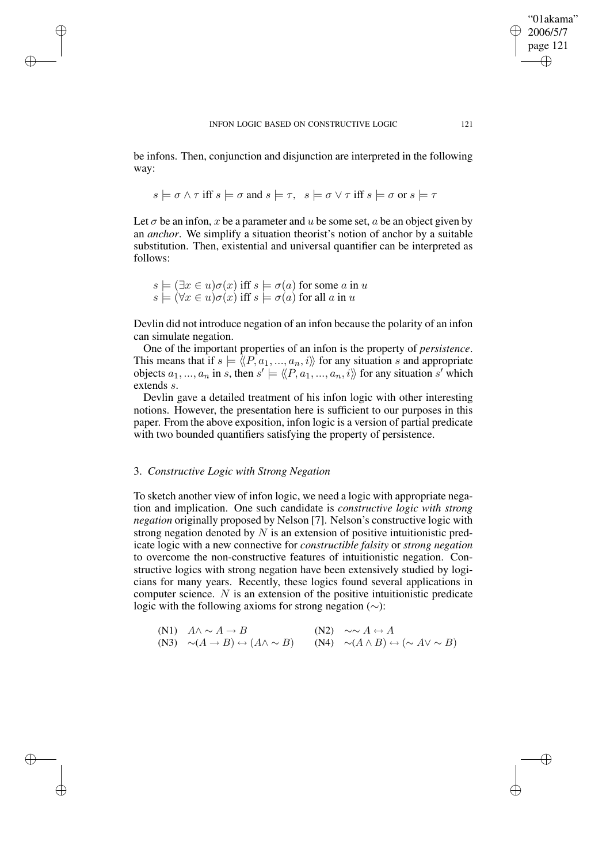be infons. Then, conjunction and disjunction are interpreted in the following way:

$$
s \models \sigma \land \tau \text{ iff } s \models \sigma \text{ and } s \models \tau, \ \ s \models \sigma \lor \tau \text{ iff } s \models \sigma \text{ or } s \models \tau
$$

Let  $\sigma$  be an infon, x be a parameter and u be some set, a be an object given by an *anchor*. We simplify a situation theorist's notion of anchor by a suitable substitution. Then, existential and universal quantifier can be interpreted as follows:

$$
s \models (\exists x \in u)\sigma(x) \text{ iff } s \models \sigma(a) \text{ for some } a \text{ in } u
$$
  

$$
s \models (\forall x \in u)\sigma(x) \text{ iff } s \models \sigma(a) \text{ for all } a \text{ in } u
$$

✐

✐

✐

✐

Devlin did not introduce negation of an infon because the polarity of an infon can simulate negation.

One of the important properties of an infon is the property of *persistence*. This means that if  $s \models \langle P, a_1, ..., a_n, i \rangle$  for any situation s and appropriate objects  $a_1, ..., a_n$  in s, then  $s' \models \langle \langle P, a_1, ..., a_n, i \rangle \rangle$  for any situation s' which extends s.

Devlin gave a detailed treatment of his infon logic with other interesting notions. However, the presentation here is sufficient to our purposes in this paper. From the above exposition, infon logic is a version of partial predicate with two bounded quantifiers satisfying the property of persistence.

### 3. *Constructive Logic with Strong Negation*

To sketch another view of infon logic, we need a logic with appropriate negation and implication. One such candidate is *constructive logic with strong negation* originally proposed by Nelson [7]. Nelson's constructive logic with strong negation denoted by  $N$  is an extension of positive intuitionistic predicate logic with a new connective for *constructible falsity* or *strong negation* to overcome the non-constructive features of intuitionistic negation. Constructive logics with strong negation have been extensively studied by logicians for many years. Recently, these logics found several applications in computer science. N is an extension of the positive intuitionistic predicate logic with the following axioms for strong negation (∼):

(N1) 
$$
A \wedge \sim A \rightarrow B
$$
  
\n(N2)  $\sim \sim A \leftrightarrow A$   
\n(N3)  $\sim (A \rightarrow B) \leftrightarrow (A \wedge \sim B)$   
\n(N4)  $\sim (A \wedge B) \leftrightarrow (\sim A \vee \sim B)$ 

"01akama" 2006/5/7 page 121

✐

✐

✐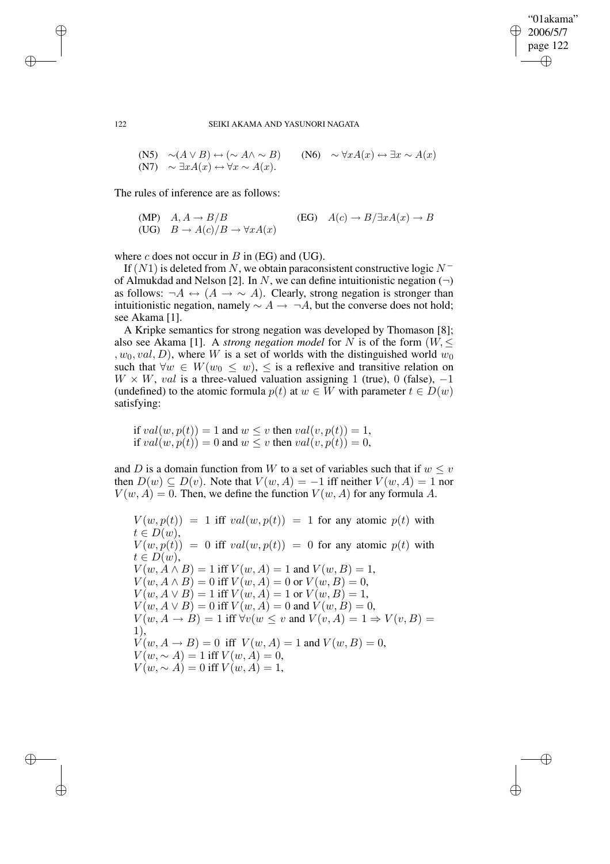✐

122 SEIKI AKAMA AND YASUNORI NAGATA

(N5) 
$$
\sim(A \lor B) \leftrightarrow (\sim A \land \sim B)
$$
 (N6)  $\sim \forall x A(x) \leftrightarrow \exists x \sim A(x)$   
(N7)  $\sim \exists x A(x) \leftrightarrow \forall x \sim A(x)$ .

The rules of inference are as follows:

$$
\begin{array}{ll}\n\text{(MP)} & A, A \to B/B & \text{(EG)} & A(c) \to B/\exists x A(x) \to B \\
\text{(UG)} & B \to A(c)/B \to \forall x A(x)\n\end{array}
$$

where c does not occur in  $B$  in (EG) and (UG).

If  $(N1)$  is deleted from N, we obtain paraconsistent constructive logic  $N^$ of Almukdad and Nelson [2]. In N, we can define intuitionistic negation  $(\neg)$ as follows:  $\neg A \leftrightarrow (A \rightarrow \sim A)$ . Clearly, strong negation is stronger than intuitionistic negation, namely  $\sim A \rightarrow \neg A$ , but the converse does not hold; see Akama [1].

A Kripke semantics for strong negation was developed by Thomason [8]; also see Akama [1]. A *strong negation model* for N is of the form  $(W, \leq)$ ,  $w_0$ ,  $val$ ,  $D$ ), where W is a set of worlds with the distinguished world  $w_0$ such that  $\forall w \in W(w_0 \leq w), \leq$  is a reflexive and transitive relation on  $W \times W$ , val is a three-valued valuation assigning 1 (true), 0 (false), -1 (undefined) to the atomic formula  $p(t)$  at  $w \in W$  with parameter  $t \in D(w)$ satisfying:

if  $val(w, p(t)) = 1$  and  $w \leq v$  then  $val(v, p(t)) = 1$ , if  $val(w, p(t)) = 0$  and  $w \leq v$  then  $val(v, p(t)) = 0$ ,

and D is a domain function from W to a set of variables such that if  $w \leq v$ then  $D(w) \subseteq D(v)$ . Note that  $V(w, A) = -1$  iff neither  $V(w, A) = 1$  nor  $V(w, A) = 0$ . Then, we define the function  $V(w, A)$  for any formula A.

 $V(w, p(t)) = 1$  iff  $val(w, p(t)) = 1$  for any atomic  $p(t)$  with  $t \in D(w),$  $V(w, p(t)) = 0$  iff  $val(w, p(t)) = 0$  for any atomic  $p(t)$  with  $t \in D(w),$  $V(w, A \wedge B) = 1$  iff  $V(w, A) = 1$  and  $V(w, B) = 1$ ,  $V(w, A \wedge B) = 0$  iff  $V(w, A) = 0$  or  $V(w, B) = 0$ ,  $V(w, A \vee B) = 1$  iff  $V(w, A) = 1$  or  $V(w, B) = 1$ ,  $V(w, A \vee B) = 0$  iff  $V(w, A) = 0$  and  $V(w, B) = 0$ ,  $V(w, A \rightarrow B) = 1$  iff  $\forall v (w \leq v \text{ and } V(v, A) = 1 \Rightarrow V(v, B) =$ 1),  $V(w, A \to B) = 0$  iff  $V(w, A) = 1$  and  $V(w, B) = 0$ ,  $V(w, \sim A) = 1$  iff  $V(w, A) = 0$ ,  $V(w, \sim A) = 0$  iff  $V(w, A) = 1$ ,

✐

✐

✐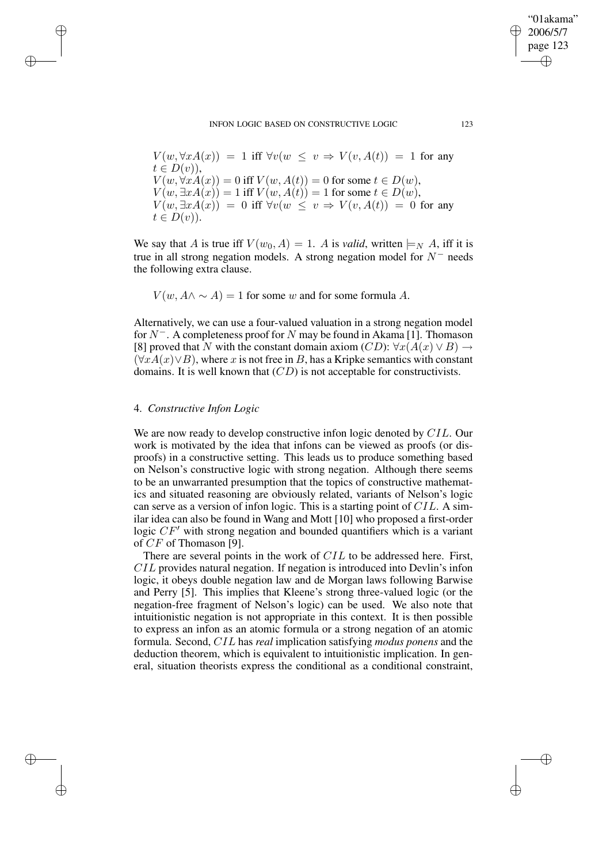#### INFON LOGIC BASED ON CONSTRUCTIVE LOGIC 123

$$
V(w, \forall x A(x)) = 1 \text{ iff } \forall v(w \le v \Rightarrow V(v, A(t)) = 1 \text{ for any } t \in D(v)),
$$
  
\n
$$
V(w, \forall x A(x)) = 0 \text{ iff } V(w, A(t)) = 0 \text{ for some } t \in D(w),
$$
  
\n
$$
V(w, \exists x A(x)) = 1 \text{ iff } V(w, A(t)) = 1 \text{ for some } t \in D(w),
$$
  
\n
$$
V(w, \exists x A(x)) = 0 \text{ iff } \forall v(w \le v \Rightarrow V(v, A(t)) = 0 \text{ for any } t \in D(v)).
$$

We say that A is true iff  $V(w_0, A) = 1$ . A is *valid*, written  $\models_N A$ , iff it is true in all strong negation models. A strong negation model for  $N^-$  needs the following extra clause.

 $V(w, A \wedge \sim A) = 1$  for some w and for some formula A.

Alternatively, we can use a four-valued valuation in a strong negation model for  $N^-$ . A completeness proof for N may be found in Akama [1]. Thomason [8] proved that N with the constant domain axiom  $(CD)$ :  $\forall x(A(x) \vee B) \rightarrow$  $(\forall x A(x) \lor B)$ , where x is not free in B, has a Kripke semantics with constant domains. It is well known that  $(CD)$  is not acceptable for constructivists.

# 4. *Constructive Infon Logic*

✐

✐

✐

✐

We are now ready to develop constructive infon logic denoted by CIL. Our work is motivated by the idea that infons can be viewed as proofs (or disproofs) in a constructive setting. This leads us to produce something based on Nelson's constructive logic with strong negation. Although there seems to be an unwarranted presumption that the topics of constructive mathematics and situated reasoning are obviously related, variants of Nelson's logic can serve as a version of infon logic. This is a starting point of CIL. A similar idea can also be found in Wang and Mott [10] who proposed a first-order logic  $CF'$  with strong negation and bounded quantifiers which is a variant of CF of Thomason [9].

There are several points in the work of CIL to be addressed here. First, CIL provides natural negation. If negation is introduced into Devlin's infon logic, it obeys double negation law and de Morgan laws following Barwise and Perry [5]. This implies that Kleene's strong three-valued logic (or the negation-free fragment of Nelson's logic) can be used. We also note that intuitionistic negation is not appropriate in this context. It is then possible to express an infon as an atomic formula or a strong negation of an atomic formula. Second, CIL has *real* implication satisfying *modus ponens* and the deduction theorem, which is equivalent to intuitionistic implication. In general, situation theorists express the conditional as a conditional constraint,

"01akama" 2006/5/7 page 123

✐

✐

✐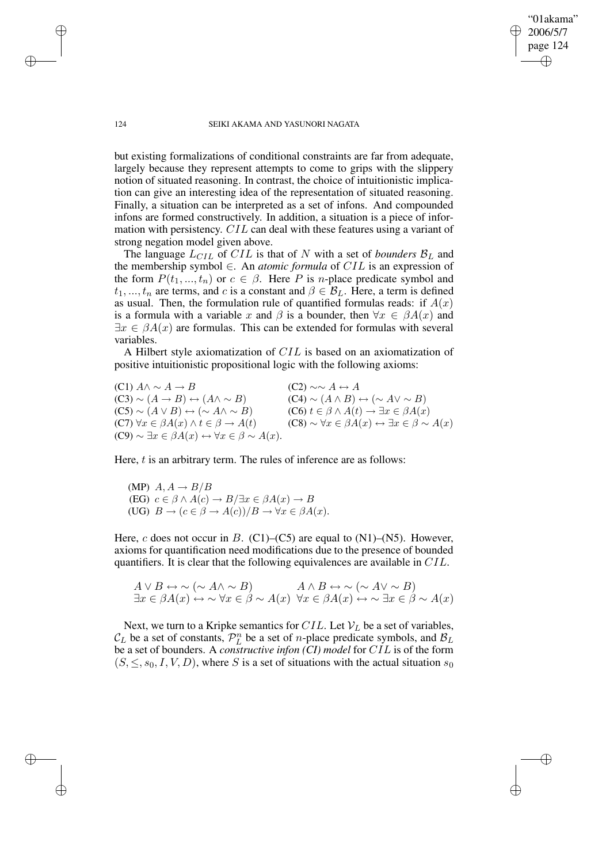124 SEIKI AKAMA AND YASUNORI NAGATA

"01akama" 2006/5/7 page 124

✐

✐

✐

✐

but existing formalizations of conditional constraints are far from adequate, largely because they represent attempts to come to grips with the slippery notion of situated reasoning. In contrast, the choice of intuitionistic implication can give an interesting idea of the representation of situated reasoning. Finally, a situation can be interpreted as a set of infons. And compounded infons are formed constructively. In addition, a situation is a piece of information with persistency. CIL can deal with these features using a variant of strong negation model given above.

The language  $L_{CIL}$  of  $CIL$  is that of N with a set of *bounders*  $B_L$  and the membership symbol ∈. An *atomic formula* of CIL is an expression of the form  $P(t_1, ..., t_n)$  or  $c \in \beta$ . Here P is *n*-place predicate symbol and  $t_1, ..., t_n$  are terms, and c is a constant and  $\beta \in \mathcal{B}_L$ . Here, a term is defined as usual. Then, the formulation rule of quantified formulas reads: if  $A(x)$ is a formula with a variable x and  $\beta$  is a bounder, then  $\forall x \in \beta A(x)$  and  $\exists x \in \beta A(x)$  are formulas. This can be extended for formulas with several variables.

A Hilbert style axiomatization of CIL is based on an axiomatization of positive intuitionistic propositional logic with the following axioms:

(C1)  $A \wedge \neg A \rightarrow B$  (C2) ∼∼  $A \leftrightarrow A$  $(C3) \sim (A \rightarrow B) \leftrightarrow (A \land \sim B)$  (C4) ∼  $(A \land B) \leftrightarrow (\sim A \lor \sim B)$ (C5) ~  $(A \vee B) \leftrightarrow (\sim A \wedge \sim B)$  (C6)  $t \in \beta \wedge A(t) \rightarrow \exists x \in \beta A(x)$ (C7)  $\forall x \in \beta A(x) \land t \in \beta \rightarrow A(t)$  (C8) ~  $\forall x \in \beta A(x) \leftrightarrow \exists x \in \beta \sim A(x)$  $(C9) \sim \exists x \in \beta A(x) \leftrightarrow \forall x \in \beta \sim A(x).$ 

Here,  $t$  is an arbitrary term. The rules of inference are as follows:

(MP)  $A, A \rightarrow B/B$ (EG)  $c \in \beta \wedge A(c) \rightarrow B/\exists x \in \beta A(x) \rightarrow B$ (UG)  $B \to (c \in \beta \to A(c))/B \to \forall x \in \beta A(x)$ .

Here, c does not occur in B. (C1)–(C5) are equal to  $(N1)$ – $(N5)$ . However, axioms for quantification need modifications due to the presence of bounded quantifiers. It is clear that the following equivalences are available in CIL.

$$
A \lor B \leftrightarrow \sim (\sim A \land \sim B) \qquad A \land B \leftrightarrow \sim (\sim A \lor \sim B)
$$
  

$$
\exists x \in \beta A(x) \leftrightarrow \sim \forall x \in \beta \sim A(x) \quad \forall x \in \beta A(x) \leftrightarrow \sim \exists x \in \beta \sim A(x)
$$

Next, we turn to a Kripke semantics for CIL. Let  $V_L$  be a set of variables,  $\mathcal{C}_L$  be a set of constants,  $\mathcal{P}_L^n$  be a set of *n*-place predicate symbols, and  $\mathcal{B}_L$ be a set of bounders. A *constructive infon (CI) model* for CIL is of the form  $(S, \leq, s_0, I, V, D)$ , where S is a set of situations with the actual situation  $s_0$ 

✐

✐

✐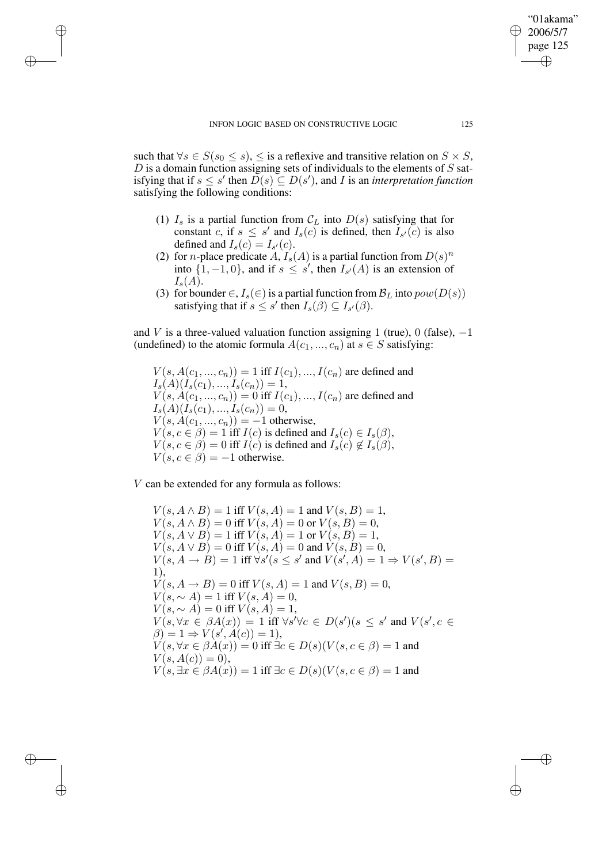✐

✐

✐

such that  $\forall s \in S$ ( $s_0 \leq s$ ),  $\leq$  is a reflexive and transitive relation on  $S \times S$ ,  $D$  is a domain function assigning sets of individuals to the elements of  $S$  satisfying that if  $s \leq s'$  then  $D(s) \subseteq D(s')$ , and *I* is an *interpretation function* satisfying the following conditions:

- (1)  $I_s$  is a partial function from  $\mathcal{C}_L$  into  $D(s)$  satisfying that for constant c, if  $s \leq s'$  and  $I_s(c)$  is defined, then  $I_{s'}(c)$  is also defined and  $I_s(c) = I_{s'}(c)$ .
- (2) for *n*-place predicate  $\hat{A}$ ,  $I_s(A)$  is a partial function from  $D(s)^n$ into  $\{1, -1, 0\}$ , and if  $s \leq s'$ , then  $I_{s'}(A)$  is an extension of  $I_{\rm s}(A)$ .
- (3) for bounder  $\in$ ,  $I_s(\in)$  is a partial function from  $\mathcal{B}_L$  into  $pow(D(s))$ satisfying that if  $s \leq s'$  then  $I_s(\beta) \subseteq I_{s'}(\beta)$ .

and V is a three-valued valuation function assigning 1 (true), 0 (false),  $-1$ (undefined) to the atomic formula  $A(c_1, ..., c_n)$  at  $s \in S$  satisfying:

 $V(s, A(c_1, ..., c_n)) = 1$  iff  $I(c_1), ..., I(c_n)$  are defined and  $I_s(A)(I_s(c_1),...,I_s(c_n))=1,$  $V(s, A(c_1, ..., c_n)) = 0$  iff  $I(c_1), ..., I(c_n)$  are defined and  $I_s(A)(I_s(c_1),...,I_s(c_n))=0,$  $V(s, A(c_1, ..., c_n)) = -1$  otherwise,  $V(s, c \in \beta) = 1$  iff  $I(c)$  is defined and  $I_s(c) \in I_s(\beta)$ ,  $V(s, c \in \beta) = 0$  iff  $I(c)$  is defined and  $I_s(c) \notin I_s(\beta)$ ,  $V(s, c \in \beta) = -1$  otherwise.

V can be extended for any formula as follows:

 $V(s, A \wedge B) = 1$  iff  $V(s, A) = 1$  and  $V(s, B) = 1$ ,  $V(s, A \wedge B) = 0$  iff  $V(s, A) = 0$  or  $V(s, B) = 0$ ,  $V(s, A \vee B) = 1$  iff  $V(s, A) = 1$  or  $V(s, B) = 1$ ,  $V(s, A \vee B) = 0$  iff  $V(s, A) = 0$  and  $V(s, B) = 0$ ,  $V(s, A \rightarrow B) = 1$  iff  $\forall s'(s' \le s'$  and  $V(s', A) = 1 \Rightarrow V(s', B) =$ 1),  $V(s, A \to B) = 0$  iff  $V(s, A) = 1$  and  $V(s, B) = 0$ ,  $V(s, \sim A) = 1$  iff  $V(s, A) = 0$ ,  $V(s, \sim A) = 0$  iff  $V(s, A) = 1$ ,  $V(s, \forall x \in \beta A(x)) = 1$  iff  $\forall s' \forall c \in D(s') (s \leq s'$  and  $V(s', c \in$  $\beta$ ) = 1  $\Rightarrow$   $V(s', A(c)) = 1$ ,  $V(s, \forall x \in \beta A(x)) = 0$  iff  $\exists c \in D(s) (V(s, c \in \beta)) = 1$  and  $V(s, A(c)) = 0$ ,  $V(s, \exists x \in \beta A(x)) = 1$  iff  $\exists c \in D(s) (V(s, c \in \beta)) = 1$  and

"01akama" 2006/5/7 page 125

✐

✐

✐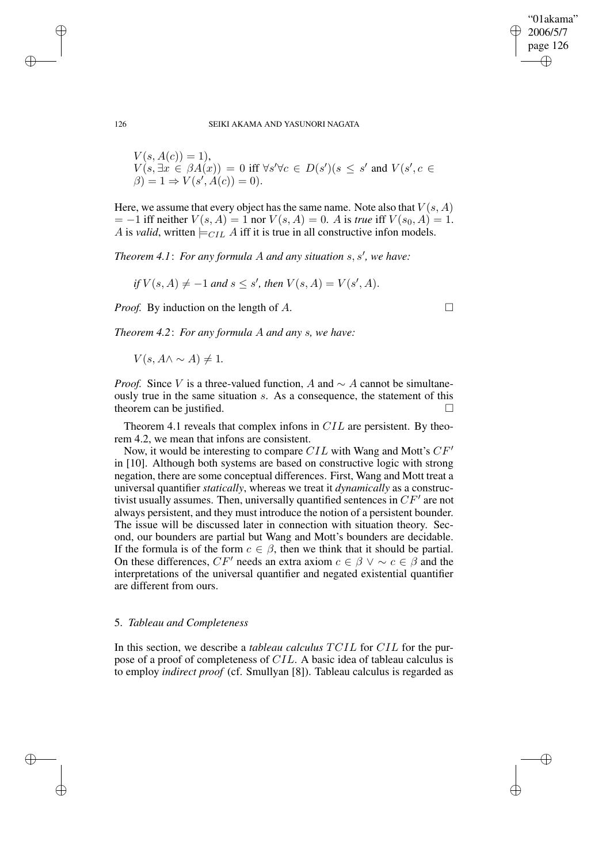"01akama" 2006/5/7 page 126 ✐ ✐

✐

✐

126 SEIKI AKAMA AND YASUNORI NAGATA

$$
V(s, A(c)) = 1),
$$
  
\n
$$
V(s, \exists x \in \beta A(x)) = 0 \text{ iff } \forall s' \forall c \in D(s')(s \le s' \text{ and } V(s', c \in \beta) = 1 \Rightarrow V(s', A(c)) = 0).
$$

Here, we assume that every object has the same name. Note also that  $V(s, A)$  $= -1$  iff neither  $V(s, A) = 1$  nor  $V(s, A) = 0$ . A is *true* iff  $V(s_0, A) = 1$ . A is *valid*, written  $\models$   $CIL$  A iff it is true in all constructive infon models.

*Theorem 4.1*: *For any formula* A *and any situation* s, s 0 *, we have:*

*if*  $V(s, A) \neq -1$  *and*  $s \leq s'$ *, then*  $V(s, A) = V(s', A)$ *.* 

*Proof.* By induction on the length of *A*. □

*Theorem 4.2*: *For any formula* A *and any* s*, we have:*

 $V(s, A \wedge \sim A) \neq 1$ .

*Proof.* Since V is a three-valued function, A and  $\sim A$  cannot be simultaneously true in the same situation s. As a consequence, the statement of this theorem can be justified.

Theorem 4.1 reveals that complex infons in CIL are persistent. By theorem 4.2, we mean that infons are consistent.

Now, it would be interesting to compare  $CIL$  with Wang and Mott's  $CF'$ in [10]. Although both systems are based on constructive logic with strong negation, there are some conceptual differences. First, Wang and Mott treat a universal quantifier *statically*, whereas we treat it *dynamically* as a constructivist usually assumes. Then, universally quantified sentences in  $CF'$  are not always persistent, and they must introduce the notion of a persistent bounder. The issue will be discussed later in connection with situation theory. Second, our bounders are partial but Wang and Mott's bounders are decidable. If the formula is of the form  $c \in \beta$ , then we think that it should be partial. On these differences,  $CF'$  needs an extra axiom  $c \in \beta \lor \sim c \in \beta$  and the interpretations of the universal quantifier and negated existential quantifier are different from ours.

# 5. *Tableau and Completeness*

In this section, we describe a *tableau calculus* TCIL for CIL for the purpose of a proof of completeness of CIL. A basic idea of tableau calculus is to employ *indirect proof* (cf. Smullyan [8]). Tableau calculus is regarded as

✐

✐

✐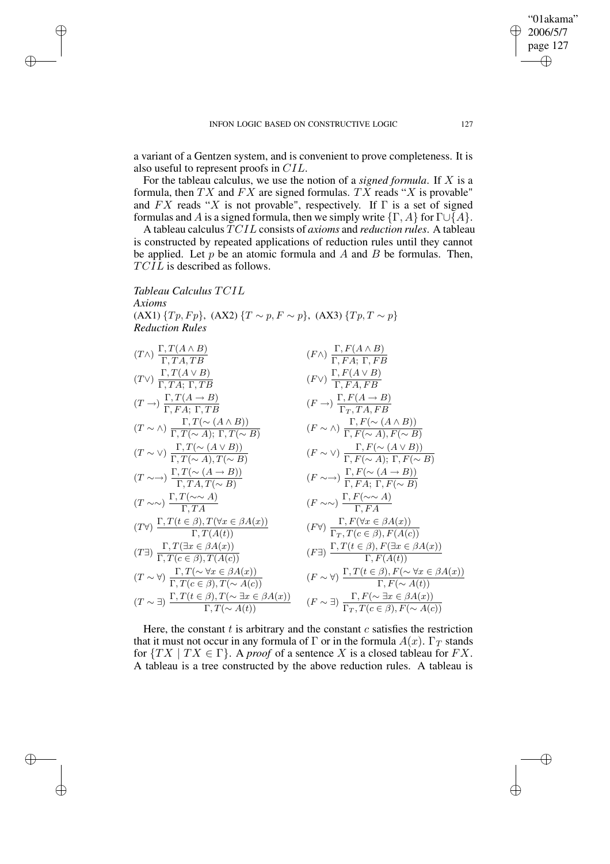✐

✐

✐

a variant of a Gentzen system, and is convenient to prove completeness. It is also useful to represent proofs in CIL.

For the tableau calculus, we use the notion of a *signed formula*. If X is a formula, then TX and FX are signed formulas. TX reads "X is provable" and  $FX$  reads "X is not provable", respectively. If  $\Gamma$  is a set of signed formulas and A is a signed formula, then we simply write  $\{\Gamma, A\}$  for  $\Gamma \cup \{A\}$ .

A tableau calculus TCIL consists of *axioms* and *reduction rules*. A tableau is constructed by repeated applications of reduction rules until they cannot be applied. Let  $p$  be an atomic formula and  $A$  and  $B$  be formulas. Then, TCIL is described as follows.

*Tableau Calculus* TCIL *Axioms* (AX1)  $\{Tp, Fp\}$ , (AX2)  $\{T \sim p, F \sim p\}$ , (AX3)  $\{Tp, T \sim p\}$ *Reduction Rules*

$$
(T \wedge) \frac{\Gamma, T(A \wedge B)}{\Gamma, TA, TB} \qquad (F \wedge) \frac{\Gamma, F(A \wedge B)}{\Gamma, FA, \Gamma, FB} \n(T \rightarrow) \frac{\Gamma, T(A \vee B)}{\Gamma, FA, \Gamma, TB} \qquad (F \vee) \frac{\Gamma, F(A \vee B)}{\Gamma, FA, FB} \n(T \rightarrow) \frac{\Gamma, T(A \rightarrow B)}{\Gamma, FA, \Gamma, TB} \qquad (F \rightarrow) \frac{\Gamma, F(A \vee B)}{\Gamma, TA, FB} \n(T \sim \wedge) \frac{\Gamma, T(\sim(A \wedge B))}{\Gamma, T(\sim A), \Gamma, T(\sim B)} \qquad (F \sim \wedge) \frac{\Gamma, F(\sim(A \wedge B))}{\Gamma, F(\sim A), F(\sim B)} \n(T \sim \vee) \frac{\Gamma, T(\sim(A \vee B))}{\Gamma, T(A, T(\sim B)} \qquad (F \sim \vee) \frac{\Gamma, F(\sim(A \vee B))}{\Gamma, F(\sim A), \Gamma, F(\sim B)} \n(T \sim \sim) \frac{\Gamma, T(\sim(A \rightarrow B))}{\Gamma, TA, T(\sim B)} \qquad (F \sim \vee) \frac{\Gamma, F(\sim(A \vee B))}{\Gamma, FA, \Gamma, F(\sim B)} \n(T \sim \sim) \frac{\Gamma, T(\sim \wedge A)}{\Gamma, TA} \qquad (F \sim \sim) \frac{\Gamma, F(\sim(A \rightarrow B))}{\Gamma, FA} \n(T \vee) \frac{\Gamma, T(\omega \wedge A)}{\Gamma, T(A(t))} \qquad (F \sim \sim) \frac{\Gamma, F(\vee x \in \beta A(x))}{\Gamma, F(A)} \n(T \exists) \frac{\Gamma, T(\exists x \in \beta A(x))}{\Gamma, T(\epsilon \in \beta), T(A(c))} \qquad (F \exists) \frac{\Gamma, T(\epsilon \in \beta), F(A(c))}{\Gamma, F(A(t))} \n(T \sim \forall) \frac{\Gamma, T(\sim \forall x \in \beta A(x))}{\Gamma, T(\epsilon \in \beta), T(\sim A(c))} \qquad (F \sim \forall) \frac{\Gamma, T(t \in \beta), F(\sim \forall x \in \beta A(x))}{\Gamma, F(\sim A(t))} \n(T \sim \exists) \frac{\Gamma, T(t \in \beta), T(\sim \exists x \in \beta A(x))}{\Gamma, T(\sim A(t))} \qquad (F \sim \exists) \frac{\Gamma, F(\sim \exists x \
$$

Here, the constant  $t$  is arbitrary and the constant  $c$  satisfies the restriction that it must not occur in any formula of  $\Gamma$  or in the formula  $A(x)$ .  $\Gamma_T$  stands for  $\{TX \mid TX \in \Gamma\}$ . A *proof* of a sentence X is a closed tableau for FX. A tableau is a tree constructed by the above reduction rules. A tableau is

"01akama" 2006/5/7 page 127

✐

✐

✐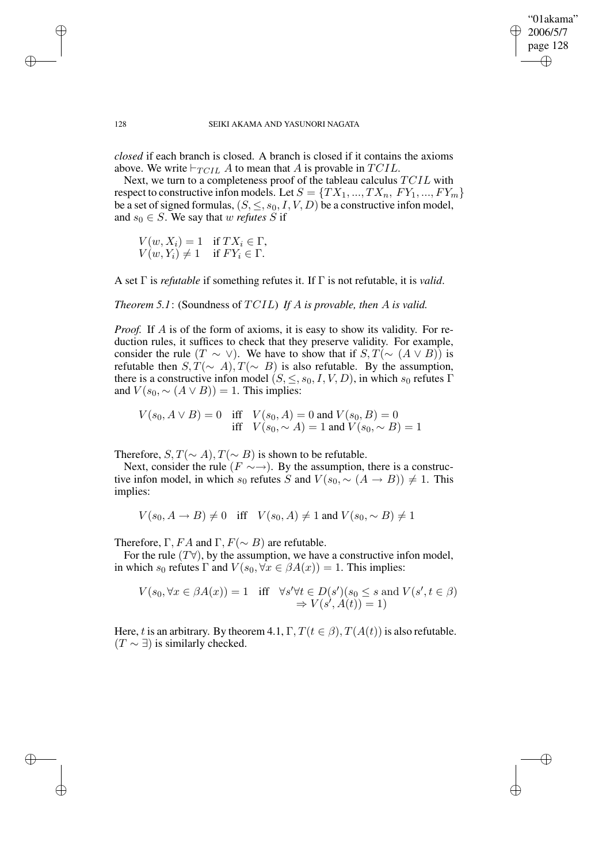"01akama" 2006/5/7 page 128 ✐ ✐

✐

✐

### 128 SEIKI AKAMA AND YASUNORI NAGATA

*closed* if each branch is closed. A branch is closed if it contains the axioms above. We write  $\vdash_{TCL} A$  to mean that A is provable in TCIL.

Next, we turn to a completeness proof of the tableau calculus TCIL with respect to constructive infon models. Let  $S = \{TX_1, ..., TX_n, FY_1, ..., FY_m\}$ be a set of signed formulas,  $(S, \leq, s_0, I, V, D)$  be a constructive infon model, and  $s_0 \in S$ . We say that w *refutes* S if

 $V(w, X_i) = 1$  if  $TX_i \in \Gamma$ ,  $V(w, Y_i) \neq 1$  if  $FY_i \in \Gamma$ .

A set Γ is *refutable* if something refutes it. If Γ is not refutable, it is *valid*.

*Theorem 5.1*: (Soundness of TCIL) *If* A *is provable, then* A *is valid.*

*Proof.* If A is of the form of axioms, it is easy to show its validity. For reduction rules, it suffices to check that they preserve validity. For example, consider the rule  $(T \sim \vee)$ . We have to show that if  $S, T(\sim (A \vee B))$  is refutable then  $S, T(\sim A), T(\sim B)$  is also refutable. By the assumption, there is a constructive infon model  $(S, \leq, s_0, I, V, D)$ , in which  $s_0$  refutes Γ and  $V(s_0, \sim (A \vee B)) = 1$ . This implies:

 $V(s_0, A \vee B) = 0$  iff  $V(s_0, A) = 0$  and  $V(s_0, B) = 0$ iff  $V(s_0, \sim A) = 1$  and  $V(s_0, \sim B) = 1$ 

Therefore,  $S, T(\sim A), T(\sim B)$  is shown to be refutable.

Next, consider the rule ( $F \sim \rightarrow$ ). By the assumption, there is a constructive infon model, in which s<sub>0</sub> refutes S and  $V(s_0, \sim (A \rightarrow B)) \neq 1$ . This implies:

 $V(s_0, A \to B) \neq 0$  iff  $V(s_0, A) \neq 1$  and  $V(s_0, \sim B) \neq 1$ 

Therefore, Γ,  $FA$  and Γ,  $F(\sim B)$  are refutable.

For the rule  $(T\forall)$ , by the assumption, we have a constructive infon model, in which  $s_0$  refutes  $\Gamma$  and  $V(s_0, \forall x \in \beta A(x)) = 1$ . This implies:

$$
V(s_0, \forall x \in \beta A(x)) = 1 \quad \text{iff} \quad \forall s' \forall t \in D(s')(s_0 \le s \text{ and } V(s', t \in \beta) \Rightarrow V(s', A(t)) = 1)
$$

Here, t is an arbitrary. By theorem 4.1,  $\Gamma$ ,  $T(t \in \beta)$ ,  $T(A(t))$  is also refutable.  $(T \sim \exists)$  is similarly checked.

✐

✐

✐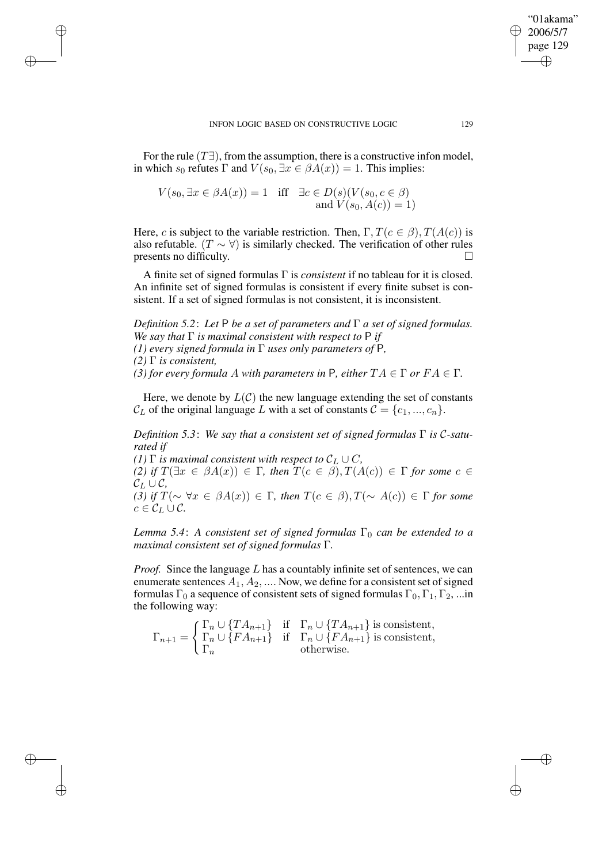For the rule  $(T\exists)$ , from the assumption, there is a constructive infon model, in which  $s_0$  refutes  $\Gamma$  and  $V(s_0, \exists x \in \beta A(x)) = 1$ . This implies:

$$
V(s_0, \exists x \in \beta A(x)) = 1 \quad \text{iff} \quad \exists c \in D(s) (V(s_0, c \in \beta) \n\text{and } V(s_0, A(c)) = 1)
$$

✐

✐

✐

✐

Here, c is subject to the variable restriction. Then,  $\Gamma, T(c \in \beta), T(A(c))$  is also refutable. ( $T \sim \forall$ ) is similarly checked. The verification of other rules presents no difficulty.

A finite set of signed formulas Γ is *consistent* if no tableau for it is closed. An infinite set of signed formulas is consistent if every finite subset is consistent. If a set of signed formulas is not consistent, it is inconsistent.

*Definition 5.2*: *Let* P *be a set of parameters and* Γ *a set of signed formulas. We say that* Γ *is maximal consistent with respect to* P *if (1) every signed formula in* Γ *uses only parameters of* P*, (2)* Γ *is consistent,*

*(3) for every formula A with parameters in* P, *either*  $TA \in \Gamma$  *or*  $FA \in \Gamma$ *.* 

Here, we denote by  $L(\mathcal{C})$  the new language extending the set of constants  $C_L$  of the original language L with a set of constants  $C = \{c_1, ..., c_n\}$ .

*Definition 5.3*: *We say that a consistent set of signed formulas* Γ *is* C*-saturated if*

*(1)*  $\Gamma$  *is maximal consistent with respect to*  $\mathcal{C}_L \cup C$ *,* 

*(2) if*  $T(\exists x \in \beta A(x)) \in \Gamma$ , *then*  $T(c \in \beta)$ ,  $T(A(c)) \in \Gamma$  *for some*  $c \in$  $\mathcal{C}_L \cup \mathcal{C}$ 

*(3) if*  $T(\sim \forall x \in \beta A(x)) \in \Gamma$ , *then*  $T(c \in \beta)$ ,  $T(\sim A(c)) \in \Gamma$  *for some*  $c \in \mathcal{C}_L \cup \mathcal{C}$ .

*Lemma* 5.4: *A consistent set of signed formulas*  $\Gamma_0$  *can be extended to a maximal consistent set of signed formulas* Γ*.*

*Proof.* Since the language L has a countably infinite set of sentences, we can enumerate sentences  $A_1, A_2, \dots$  Now, we define for a consistent set of signed formulas  $\Gamma_0$  a sequence of consistent sets of signed formulas  $\Gamma_0$ ,  $\Gamma_1$ ,  $\Gamma_2$ , ...in the following way:

 $\Gamma_{n+1} =$  $\left( \Gamma_n \cup \{TA_{n+1}\}\right)$  if  $\Gamma_n \cup \{TA_{n+1}\}\$ is consistent,  $\Gamma_n \cup \{FA_{n+1}\}\$ if  $\Gamma_n \cup \{FA_{n+1}\}\$ is consistent,  $\Gamma_n$  otherwise.

"01akama" 2006/5/7 page 129

✐

✐

✐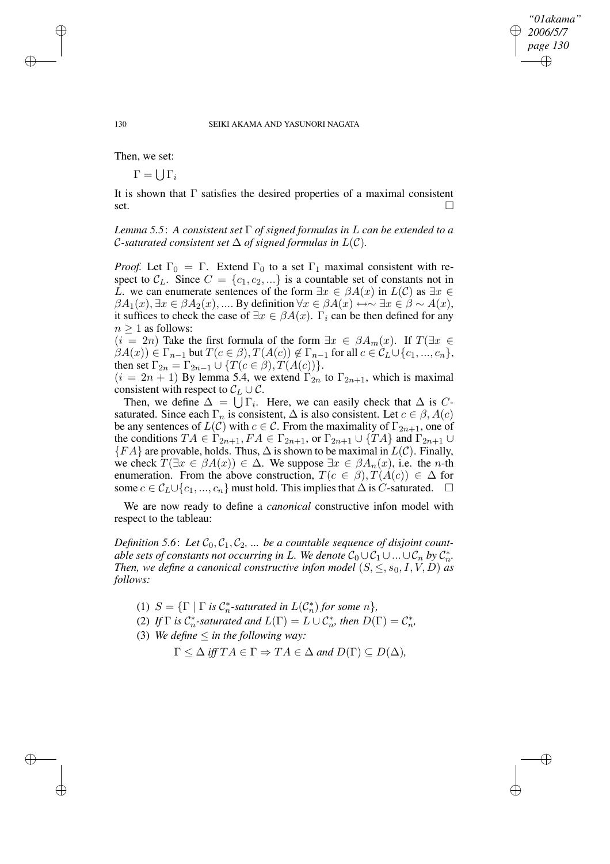*"01akama" 2006/5/7 page 130*

✐

✐

✐

✐

Then, we set:

 $\Gamma = \bigcup \Gamma_i$ 

It is shown that  $\Gamma$  satisfies the desired properties of a maximal consistent  $\overline{\phantom{a}}$ set.

*Lemma 5.5*: *A consistent set* Γ *of signed formulas in* L *can be extended to a C*-saturated consistent set  $\Delta$  of signed formulas in  $L(C)$ .

*Proof.* Let  $\Gamma_0 = \Gamma$ . Extend  $\Gamma_0$  to a set  $\Gamma_1$  maximal consistent with respect to  $\mathcal{C}_L$ . Since  $C = \{c_1, c_2, ...\}$  is a countable set of constants not in L. we can enumerate sentences of the form  $\exists x \in \beta A(x)$  in  $L(\mathcal{C})$  as  $\exists x \in \mathcal{C}$  $\beta A_1(x)$ ,  $\exists x \in \beta A_2(x)$ , .... By definition  $\forall x \in \beta A(x) \leftrightarrow \neg \exists x \in \beta \sim A(x)$ , it suffices to check the case of  $\exists x \in \beta A(x)$ .  $\Gamma_i$  can be then defined for any  $n > 1$  as follows:

 $(i = 2n)$  Take the first formula of the form  $\exists x \in \beta A_m(x)$ . If  $T(\exists x \in$  $\beta A(x) \in \Gamma_{n-1}$  but  $T(c \in \beta), T(A(c)) \notin \Gamma_{n-1}$  for all  $c \in C_L \cup \{c_1, ..., c_n\},$ then set  $\Gamma_{2n} = \Gamma_{2n-1} \cup \{T(c \in \beta), T(A(c))\}.$ 

 $(i = 2n + 1)$  By lemma 5.4, we extend  $\Gamma_{2n}$  to  $\Gamma_{2n+1}$ , which is maximal consistent with respect to  $C_L \cup C$ .

Then, we define  $\Delta = \bigcup \Gamma_i$ . Here, we can easily check that  $\Delta$  is Csaturated. Since each  $\Gamma_n$  is consistent,  $\Delta$  is also consistent. Let  $c \in \beta$ ,  $A(c)$ be any sentences of  $L(\mathcal{C})$  with  $c \in \mathcal{C}$ . From the maximality of  $\Gamma_{2n+1}$ , one of the conditions  $TA \in \Gamma_{2n+1}, FA \in \Gamma_{2n+1}$ , or  $\Gamma_{2n+1} \cup \{TA\}$  and  $\Gamma_{2n+1} \cup$  ${FA}$  are provable, holds. Thus,  $\Delta$  is shown to be maximal in  $L(\mathcal{C})$ . Finally, we check  $T(\exists x \in \beta A(x)) \in \Delta$ . We suppose  $\exists x \in \beta A_n(x)$ , i.e. the *n*-th enumeration. From the above construction,  $T(c \in \beta), T(A(c)) \in \Delta$  for some  $c \in \mathcal{C}_L \cup \{c_1, ..., c_n\}$  must hold. This implies that  $\Delta$  is C-saturated.  $\Box$ 

We are now ready to define a *canonical* constructive infon model with respect to the tableau:

*Definition* 5.6: Let  $C_0$ ,  $C_1$ ,  $C_2$ ,  $\dots$  be a countable sequence of disjoint count*able* sets of constants not occurring in L. We denote  $C_0 \cup C_1 \cup ... \cup C_n$  by  $C_n^*$ . *Then, we define a canonical constructive infon model*  $(S, \leq, s_0, I, V, D)$  *as follows:*

- (1)  $S = \{\Gamma \mid \Gamma \text{ is } C_n^* \text{-saturated in } L(C_n^*) \text{ for some } n\},\$
- (2) If  $\Gamma$  is  $C_n^*$ -saturated and  $L(\Gamma) = L \cup C_n^*$ , then  $D(\Gamma) = C_n^*$ ,
- (3) *We define*  $\leq$  *in the following way:*

 $\Gamma \leq \Delta$  *iff*  $TA \in \Gamma \Rightarrow TA \in \Delta$  *and*  $D(\Gamma) \subseteq D(\Delta)$ *,* 

✐

✐

✐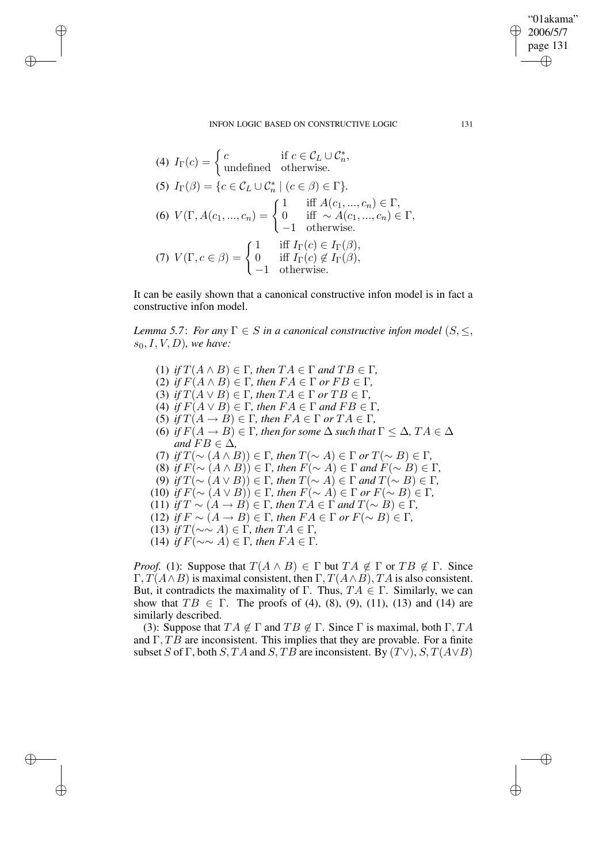### INFON LOGIC BASED ON CONSTRUCTIVE LOGIC 131

(4) 
$$
I_{\Gamma}(c) = \begin{cases} c & \text{if } c \in \mathcal{C}_L \cup \mathcal{C}_n^*, \\ \text{undefined} & \text{otherwise.} \end{cases}
$$
  
\n(5)  $I_{\Gamma}(\beta) = \{c \in \mathcal{C}_L \cup \mathcal{C}_n^* \mid (c \in \beta) \in \Gamma\}.$   
\n(6)  $V(\Gamma, A(c_1, ..., c_n) = \begin{cases} 1 & \text{iff } A(c_1, ..., c_n) \in \Gamma, \\ 0 & \text{iff } \sim A(c_1, ..., c_n) \in \Gamma, \\ -1 & \text{otherwise.} \end{cases}$   
\n(7)  $V(\Gamma, c \in \beta) = \begin{cases} 1 & \text{iff } I_{\Gamma}(c) \in I_{\Gamma}(\beta), \\ 0 & \text{iff } I_{\Gamma}(c) \notin I_{\Gamma}(\beta), \\ -1 & \text{otherwise.} \end{cases}$ 

✐

✐

✐

✐

It can be easily shown that a canonical constructive infon model is in fact a constructive infon model.

*Lemma* 5.7: *For any*  $\Gamma \in S$  *in a canonical constructive infon model* ( $S \leq$ ,  $s_0, I, V, D$ *)*, we have:

(1) *if*  $T(A \wedge B) \in \Gamma$ *, then*  $TA \in \Gamma$  *and*  $TB \in \Gamma$ *,* (2) *if*  $F(A \wedge B) \in \Gamma$ *, then*  $FA \in \Gamma$  *or*  $FB \in \Gamma$ *,* (3) *if*  $T(A \vee B) \in \Gamma$ *, then*  $TA \in \Gamma$  *or*  $TB \in \Gamma$ *,* (4) *if*  $F(A \vee B) \in \Gamma$ *, then*  $FA \in \Gamma$  *and*  $FB \in \Gamma$ *,* (5) *if*  $T(A \rightarrow B) \in \Gamma$ *, then*  $FA \in \Gamma$  *or*  $TA \in \Gamma$ *,* (6) *if*  $F(A \to B) \in \Gamma$ *, then for some*  $\Delta$  *such that*  $\Gamma \leq \Delta$ *, TA*  $\in \Delta$ *and*  $FB \in \Delta$ *,* (7) *if*  $T(\sim (A \wedge B)) \in \Gamma$ *, then*  $T(\sim A) \in \Gamma$  *or*  $T(\sim B) \in \Gamma$ *,* (8) *if*  $F(\sim (A \wedge B)) \in \Gamma$ , *then*  $F(\sim A) \in \Gamma$  *and*  $F(\sim B) \in \Gamma$ , (9) *if*  $T(\sim (A \vee B)) \in \Gamma$ , *then*  $T(\sim A) \in \Gamma$  *and*  $T(\sim B) \in \Gamma$ , (10) *if*  $F(\sim (A \vee B)) \in \Gamma$ , *then*  $F(\sim A) \in \Gamma$  *or*  $F(\sim B) \in \Gamma$ , (11) *if*  $T \sim (A \rightarrow B) \in \Gamma$ , *then*  $TA \in \Gamma$  *and*  $T(\sim B) \in \Gamma$ , (12) *if*  $F \sim (A \rightarrow B) \in \Gamma$ , *then*  $FA \in \Gamma$  *or*  $F(\sim B) \in \Gamma$ , (13) *if*  $T(\sim \sim A) \in \Gamma$ *, then*  $TA \in \Gamma$ *,* (14) *if*  $F$ (∼∼  $A$ ) ∈ Γ, *then*  $FA$  ∈ Γ.

*Proof.* (1): Suppose that  $T(A \wedge B) \in \Gamma$  but  $TA \notin \Gamma$  or  $TB \notin \Gamma$ . Since Γ,  $T(A \wedge B)$  is maximal consistent, then Γ,  $T(A \wedge B)$ , TA is also consistent. But, it contradicts the maximality of Γ. Thus,  $TA \in \Gamma$ . Similarly, we can show that  $TB \in \Gamma$ . The proofs of (4), (8), (9), (11), (13) and (14) are similarly described.

(3): Suppose that  $TA \notin \Gamma$  and  $TB \notin \Gamma$ . Since  $\Gamma$  is maximal, both  $\Gamma, TA$ and  $\Gamma$ ,  $\overline{TB}$  are inconsistent. This implies that they are provable. For a finite subset S of Γ, both S, TA and S, TB are inconsistent. By  $(T\vee)$ , S,  $T(A\vee B)$ 

"01akama" 2006/5/7 page 131

✐

✐

✐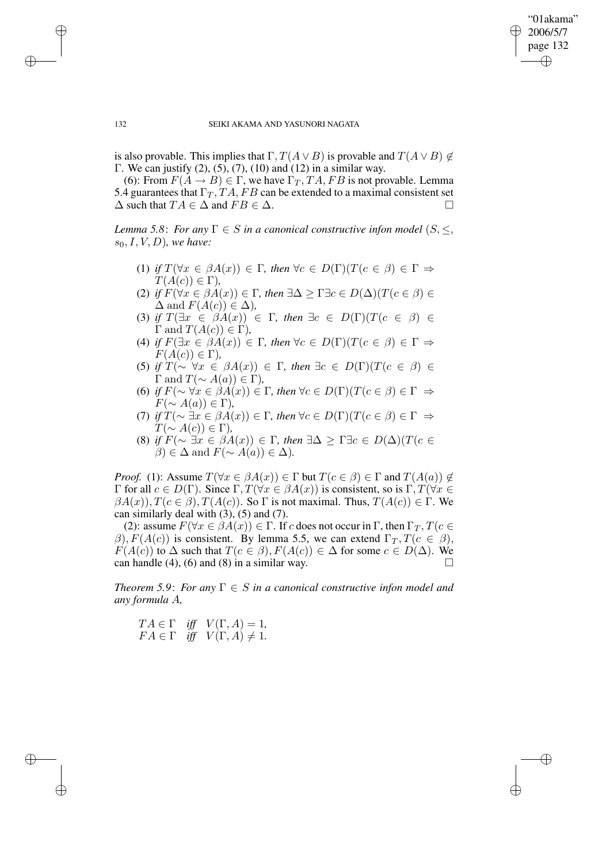$\bigoplus$ 

✐

### 132 SEIKI AKAMA AND YASUNORI NAGATA

is also provable. This implies that  $\Gamma, T(A \vee B)$  is provable and  $T(A \vee B) \notin$ Γ. We can justify (2), (5), (7), (10) and (12) in a similar way.

(6): From  $F(A \rightarrow B) \in \Gamma$ , we have  $\Gamma_T$ , TA, FB is not provable. Lemma 5.4 guarantees that  $\Gamma_T$ , TA, FB can be extended to a maximal consistent set  $\Delta$  such that  $TA \in \Delta$  and  $FB \in \Delta$ .

*Lemma* 5.8: *For any*  $\Gamma \in S$  *in a canonical constructive infon model*  $(S, \leq,$  $s_0, I, V, D$ *), we have:* 

- (1) *if*  $T(\forall x \in \beta A(x)) \in \Gamma$ , *then*  $\forall c \in D(\Gamma)(T(c \in \beta) \in \Gamma \Rightarrow$  $T(A(c)) \in \Gamma$ ),
- (2) *if*  $F(\forall x \in \beta A(x)) \in \Gamma$ , *then*  $\exists \Delta \geq \Gamma \exists c \in D(\Delta) (T(c \in \beta) \in$  $\Delta$  and  $F(A(c)) \in \Delta$ ),
- (3) *if*  $T(\exists x \in \beta A(x)) \in \Gamma$ , *then*  $\exists c \in D(\Gamma)(T(c \in \beta) \in$  $\Gamma$  and  $T(A(c)) \in \Gamma$ *)*,
- (4) *if*  $F(\exists x \in \beta A(x)) \in \Gamma$ , *then*  $\forall c \in D(\Gamma)(T(c \in \beta) \in \Gamma \Rightarrow$  $F(A(c)) \in \Gamma$ ),
- (5) *if*  $T(\sim \forall x \in \beta A(x)) \in \Gamma$ , then  $\exists c \in D(\Gamma)(T(c \in \beta)) \in$  $\Gamma$  and  $T(\sim A(a)) \in \Gamma$ ),
- (6) *if*  $F(\sim \forall x \in \beta A(x)) \in \Gamma$ , *then*  $\forall c \in D(\Gamma)(T(c \in \beta) \in \Gamma \Rightarrow$  $F(\sim A(a)) \in \Gamma$ ),
- (7) *if*  $T(\sim \exists x \in \beta A(x)) \in \Gamma$ , *then*  $\forall c \in D(\Gamma)(T(c \in \beta) \in \Gamma \Rightarrow$  $T(\sim A(c)) \in \Gamma$ ),
- (8) *if*  $F(\sim \exists x \in \beta A(x)) \in \Gamma$ , *then*  $\exists \Delta \geq \Gamma \exists c \in D(\Delta) (T(c \in \mathbb{R}))$  $\beta$ ) ∈  $\Delta$  and  $F(\sim A(a)) \in \Delta$ ).

*Proof.* (1): Assume  $T(\forall x \in \beta A(x)) \in \Gamma$  but  $T(c \in \beta) \in \Gamma$  and  $T(A(a)) \notin$ Γ for all  $c \in D(Γ)$ . Since Γ,  $T(\forall x \in \beta A(x))$  is consistent, so is Γ,  $T(\forall x \in \beta A(x))$  $\beta A(x)$ ,  $T(c \in \beta)$ ,  $T(A(c))$ . So  $\Gamma$  is not maximal. Thus,  $T(A(c)) \in \Gamma$ . We can similarly deal with  $(3)$ ,  $(5)$  and  $(7)$ .

(2): assume  $F(\forall x \in \beta A(x)) \in \Gamma$ . If c does not occur in  $\Gamma$ , then  $\Gamma_T$ ,  $T(c \in \mathcal{I})$  $\beta$ ),  $F(A(c))$  is consistent. By lemma 5.5, we can extend  $\Gamma_T$ ,  $T(c \in \beta)$ ,  $F(A(c))$  to  $\Delta$  such that  $T(c \in \beta), F(A(c)) \in \Delta$  for some  $c \in D(\Delta)$ . We can handle (4), (6) and (8) in a similar way.  $\square$ 

*Theorem* 5.9: *For any*  $\Gamma \in S$  *in a canonical constructive infon model and any formula* A*,*

$$
TA \in \Gamma \quad \text{iff} \quad V(\Gamma, A) = 1,
$$
  

$$
FA \in \Gamma \quad \text{iff} \quad V(\Gamma, A) \neq 1.
$$

✐

✐

✐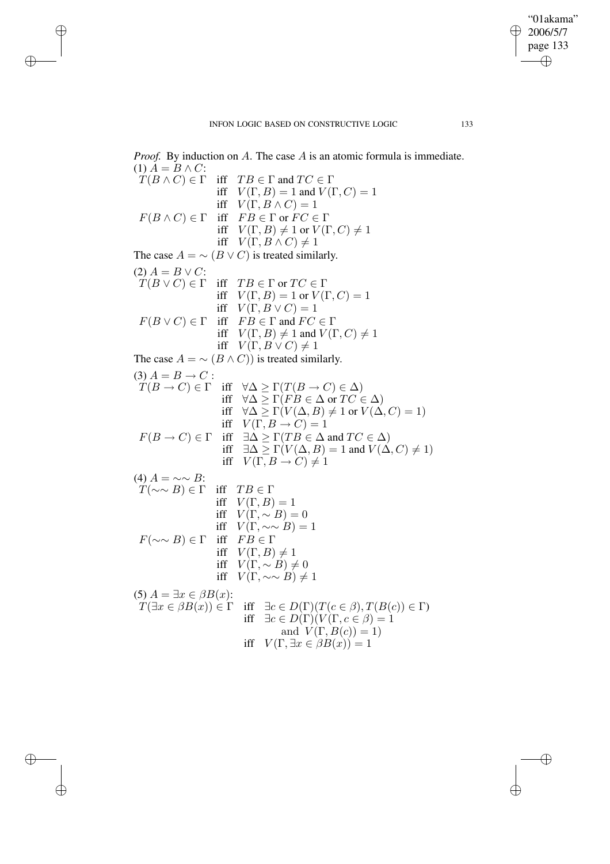✐

✐

✐

✐

✐

*Proof.* By induction on A. The case A is an atomic formula is immediate. (1)  $A = B \wedge C$ :<br>  $T(B \wedge C) \in \Gamma$ iff  $TB \in \Gamma$  and  $TC \in \Gamma$ iff  $V(\Gamma, B) = 1$  and  $V(\Gamma, C) = 1$ iff  $V(\Gamma, B \wedge C) = 1$  $F(B \wedge C) \in \Gamma$  iff  $FB \in \Gamma$  or  $FC \in \Gamma$ iff  $V(\Gamma, B) \neq 1$  or  $V(\Gamma, C) \neq 1$ iff  $V(\Gamma, B \wedge C) \neq 1$ The case  $A = \sim (B \vee C)$  is treated similarly. (2)  $A = B \vee C$ :  $T(B \vee C) \in \Gamma$  iff  $TB \in \Gamma$  or  $TC \in \Gamma$ iff  $V(\Gamma, B) = 1$  or  $V(\Gamma, C) = 1$ iff  $V(\Gamma, B \vee C) = 1$  $F(B \vee C) \in \Gamma$  iff  $FB \in \Gamma$  and  $FC \in \Gamma$ iff  $V(\Gamma, B) \neq 1$  and  $V(\Gamma, C) \neq 1$ iff  $V(\Gamma, B \vee C) \neq 1$ The case  $A = \sim (B \wedge C)$  is treated similarly. (3)  $A = B \to C$ :  $T(B \to C) \in \Gamma$  iff  $\forall \Delta \geq \Gamma(T(B \to C) \in \Delta)$ iff  $\forall \Delta > \Gamma (FB \in \Delta \text{ or } TC \in \Delta)$ iff  $\forall \Delta \geq \Gamma(V(\Delta, B) \neq 1 \text{ or } V(\Delta, C) = 1)$ iff  $V(\Gamma, B \to C) = 1$  $F(B \to C) \in \Gamma$  iff  $\exists \Delta \geq \Gamma(TB \in \Delta \text{ and } TC \in \Delta)$ iff  $\exists \Delta \geq \Gamma(V(\Delta, B) = 1$  and  $V(\Delta, C) \neq 1)$ iff  $V(\Gamma, B \to C) \neq 1$ (4)  $A = \sim \sim B$ :  $T(\sim \sim B) \in \Gamma$  iff  $TB \in \Gamma$ iff  $V(\Gamma, B) = 1$ iff  $V(\Gamma, \sim B) = 0$ iff  $V(\Gamma, \sim \sim B) = 1$  $F(\sim \sim B) \in \Gamma$  iff  $FB \in \Gamma$ iff  $V(\Gamma, B) \neq 1$ iff  $V(\Gamma, \sim B) \neq 0$ iff  $V(\Gamma, \sim \sim B) \neq 1$ (5)  $A = \exists x \in \beta B(x)$ :  $T(\exists x \in \beta B(x)) \in \Gamma$  iff  $\exists c \in D(\Gamma)(T(c \in \beta), T(B(c)) \in \Gamma)$ iff  $\exists c \in D(\Gamma)(V(\Gamma, c \in \beta) = 1$ and  $V(\Gamma, B(c)) = 1$ ) iff  $V(\Gamma, \exists x \in \beta B(x)) = 1$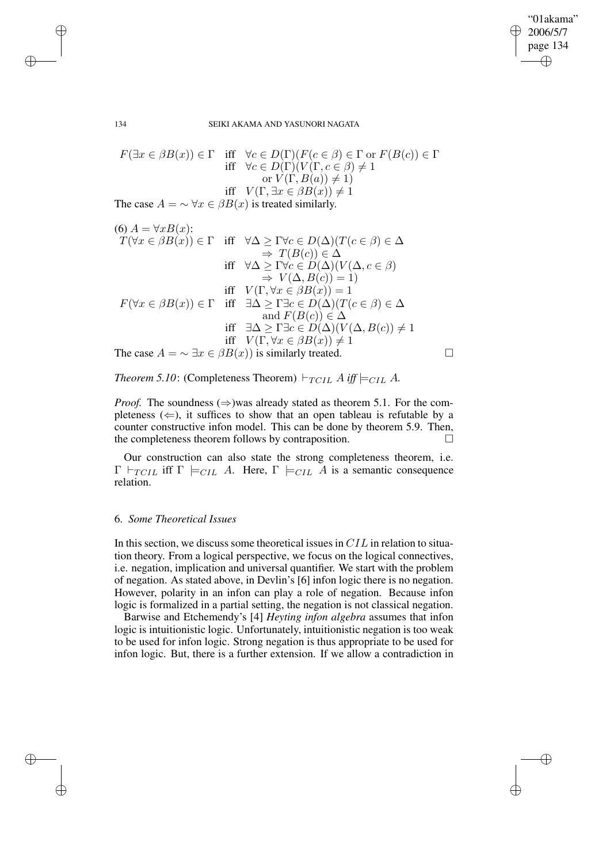✐

#### 134 SEIKI AKAMA AND YASUNORI NAGATA

$$
F(\exists x \in \beta B(x)) \in \Gamma \quad \text{iff} \quad \forall c \in D(\Gamma)(F(c \in \beta) \in \Gamma \text{ or } F(B(c)) \in \Gamma
$$
\n
$$
\text{iff} \quad \forall c \in D(\Gamma)(V(\Gamma, c \in \beta) \neq 1)
$$
\n
$$
\text{or } V(\Gamma, B(a)) \neq 1)
$$
\n
$$
\text{iff} \quad V(\Gamma, \exists x \in \beta B(x)) \neq 1
$$
\n
$$
\text{The case } A = \sim \forall x \in \beta B(x) \text{ is treated similarly.}
$$

(6) 
$$
A = \forall x B(x)
$$
:  
\n $T(\forall x \in \beta B(x)) \in \Gamma$  iff  $\forall \Delta \ge \Gamma \forall c \in D(\Delta)(T(c \in \beta) \in \Delta$   
\n $\Rightarrow T(B(c)) \in \Delta$   
\niff  $\forall \Delta \ge \Gamma \forall c \in D(\Delta)(V(\Delta, c \in \beta)$   
\n $\Rightarrow V(\Delta, B(c)) = 1)$   
\niff  $V(\Gamma, \forall x \in \beta B(x)) = 1$   
\nif  $V(\Gamma, \forall x \in \beta B(x)) = 1$   
\niff  $\exists \Delta \ge \Gamma \exists c \in D(\Delta)(T(c \in \beta) \in \Delta$   
\nand  $F(B(c)) \in \Delta$   
\niff  $\exists \Delta \ge \Gamma \exists c \in D(\Delta)(V(\Delta, B(c)) \ne 1$   
\niff  $V(\Gamma, \forall x \in \beta B(x)) \ne 1$   
\nThe case  $A = \sim \exists x \in \beta B(x)$  is similarly treated.

*Theorem* 5.10: (Completeness Theorem)  $\vdash_{TCLL} A$  *iff*  $\models_{CLL} A$ *.* 

*Proof.* The soundness  $(\Rightarrow)$  was already stated as theorem 5.1. For the completeness  $(\Leftarrow)$ , it suffices to show that an open tableau is refutable by a counter constructive infon model. This can be done by theorem 5.9. Then, the completeness theorem follows by contraposition.

Our construction can also state the strong completeness theorem, i.e.  $\Gamma \vdash_{TCL}$  iff  $\Gamma \models_{CLL} A$ . Here,  $\Gamma \models_{CLL} A$  is a semantic consequence relation.

# 6. *Some Theoretical Issues*

✐

✐

✐

✐

In this section, we discuss some theoretical issues in CIL in relation to situation theory. From a logical perspective, we focus on the logical connectives, i.e. negation, implication and universal quantifier. We start with the problem of negation. As stated above, in Devlin's [6] infon logic there is no negation. However, polarity in an infon can play a role of negation. Because infon logic is formalized in a partial setting, the negation is not classical negation.

Barwise and Etchemendy's [4] *Heyting infon algebra* assumes that infon logic is intuitionistic logic. Unfortunately, intuitionistic negation is too weak to be used for infon logic. Strong negation is thus appropriate to be used for infon logic. But, there is a further extension. If we allow a contradiction in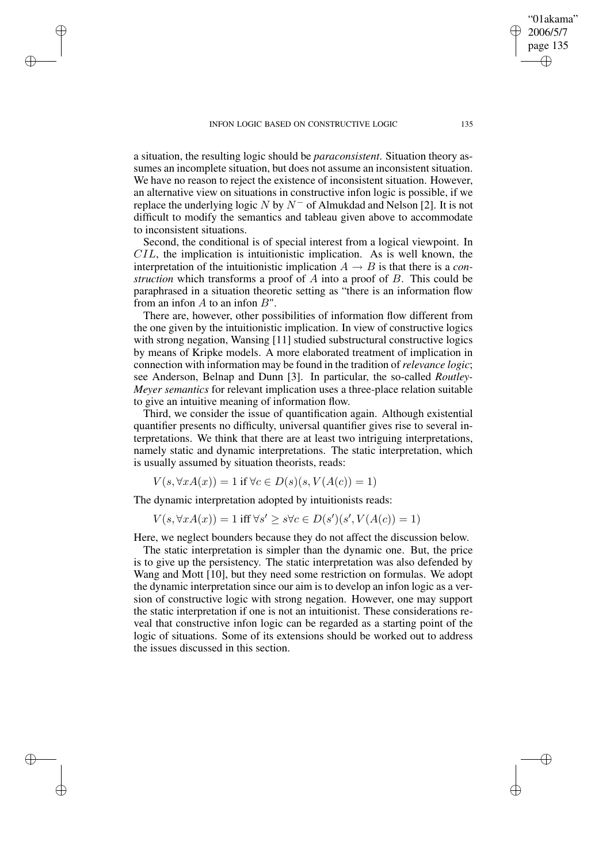✐

✐

✐

a situation, the resulting logic should be *paraconsistent*. Situation theory assumes an incomplete situation, but does not assume an inconsistent situation. We have no reason to reject the existence of inconsistent situation. However, an alternative view on situations in constructive infon logic is possible, if we replace the underlying logic N by  $N^-$  of Almukdad and Nelson [2]. It is not difficult to modify the semantics and tableau given above to accommodate to inconsistent situations.

Second, the conditional is of special interest from a logical viewpoint. In  $CIL$ , the implication is intuitionistic implication. As is well known, the interpretation of the intuitionistic implication  $A \rightarrow B$  is that there is a *construction* which transforms a proof of A into a proof of B. This could be paraphrased in a situation theoretic setting as "there is an information flow from an infon  $A$  to an infon  $B$ ".

There are, however, other possibilities of information flow different from the one given by the intuitionistic implication. In view of constructive logics with strong negation, Wansing [11] studied substructural constructive logics by means of Kripke models. A more elaborated treatment of implication in connection with information may be found in the tradition of *relevance logic*; see Anderson, Belnap and Dunn [3]. In particular, the so-called *Routley-Meyer semantics* for relevant implication uses a three-place relation suitable to give an intuitive meaning of information flow.

Third, we consider the issue of quantification again. Although existential quantifier presents no difficulty, universal quantifier gives rise to several interpretations. We think that there are at least two intriguing interpretations, namely static and dynamic interpretations. The static interpretation, which is usually assumed by situation theorists, reads:

$$
V(s, \forall x A(x)) = 1 \text{ if } \forall c \in D(s)(s, V(A(c)) = 1)
$$

The dynamic interpretation adopted by intuitionists reads:

 $V(s, \forall x A(x)) = 1$  iff  $\forall s' \geq s \forall c \in D(s')(s', V(A(c)) = 1)$ 

Here, we neglect bounders because they do not affect the discussion below.

The static interpretation is simpler than the dynamic one. But, the price is to give up the persistency. The static interpretation was also defended by Wang and Mott [10], but they need some restriction on formulas. We adopt the dynamic interpretation since our aim is to develop an infon logic as a version of constructive logic with strong negation. However, one may support the static interpretation if one is not an intuitionist. These considerations reveal that constructive infon logic can be regarded as a starting point of the logic of situations. Some of its extensions should be worked out to address the issues discussed in this section.

"01akama" 2006/5/7 page 135

✐

✐

✐